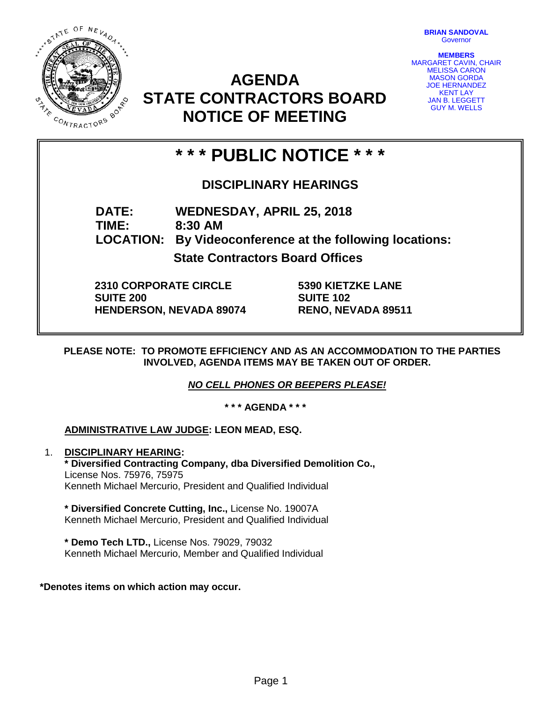STATE OF NEVADA **ON 1/2 MAR** CONTRACTORS

**BRIAN SANDOVAL Governor** 

**MEMBERS** MARGARET CAVIN, CHAIR MELISSA CARON MASON GORDA JOE HERNANDEZ KENT LAY **AN B. LEGGETT** GUY M. WELLS

# **AGENDA STATE CONTRACTORS BOARD NOTICE OF MEETING**

# **\* \* \* PUBLIC NOTICE \* \* \***

# **DISCIPLINARY HEARINGS**

**DATE: WEDNESDAY, APRIL 25, 2018 TIME: 8:30 AM LOCATION: By Videoconference at the following locations: State Contractors Board Offices**

**2310 CORPORATE CIRCLE SUITE 200**

**HENDERSON, NEVADA 89074**

**5390 KIETZKE LANE SUITE 102 RENO, NEVADA 89511**

**PLEASE NOTE: TO PROMOTE EFFICIENCY AND AS AN ACCOMMODATION TO THE PARTIES INVOLVED, AGENDA ITEMS MAY BE TAKEN OUT OF ORDER.**

*NO CELL PHONES OR BEEPERS PLEASE!* 

**\* \* \* AGENDA \* \* \***

## **ADMINISTRATIVE LAW JUDGE: LEON MEAD, ESQ.**

1. **DISCIPLINARY HEARING: \* Diversified Contracting Company, dba Diversified Demolition Co.,**  License Nos. 75976, 75975 Kenneth Michael Mercurio, President and Qualified Individual

**\* Diversified Concrete Cutting, Inc.,** License No. 19007A Kenneth Michael Mercurio, President and Qualified Individual

**\* Demo Tech LTD.,** License Nos. 79029, 79032 Kenneth Michael Mercurio, Member and Qualified Individual

### **\*Denotes items on which action may occur.**